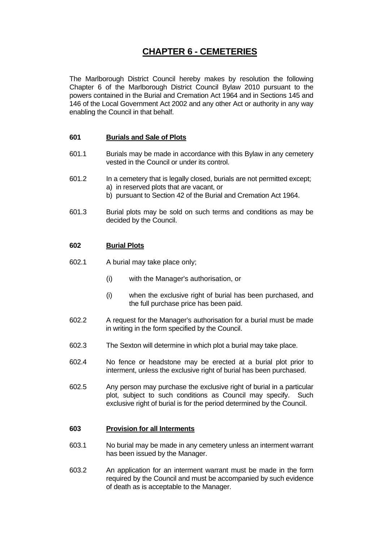# **CHAPTER 6 - CEMETERIES**

The Marlborough District Council hereby makes by resolution the following Chapter 6 of the Marlborough District Council Bylaw 2010 pursuant to the powers contained in the Burial and Cremation Act 1964 and in Sections 145 and 146 of the Local Government Act 2002 and any other Act or authority in any way enabling the Council in that behalf.

# **601 Burials and Sale of Plots**

- 601.1 Burials may be made in accordance with this Bylaw in any cemetery vested in the Council or under its control.
- 601.2 In a cemetery that is legally closed, burials are not permitted except; a) in reserved plots that are vacant, or b) pursuant to Section 42 of the Burial and Cremation Act 1964.
- 601.3 Burial plots may be sold on such terms and conditions as may be decided by the Council.

# **602 Burial Plots**

- 602.1 A burial may take place only;
	- (i) with the Manager's authorisation, or
	- (i) when the exclusive right of burial has been purchased, and the full purchase price has been paid.
- 602.2 A request for the Manager's authorisation for a burial must be made in writing in the form specified by the Council.
- 602.3 The Sexton will determine in which plot a burial may take place.
- 602.4 No fence or headstone may be erected at a burial plot prior to interment, unless the exclusive right of burial has been purchased.
- 602.5 Any person may purchase the exclusive right of burial in a particular plot, subject to such conditions as Council may specify. Such exclusive right of burial is for the period determined by the Council.

## **603 Provision for all Interments**

- 603.1 No burial may be made in any cemetery unless an interment warrant has been issued by the Manager.
- 603.2 An application for an interment warrant must be made in the form required by the Council and must be accompanied by such evidence of death as is acceptable to the Manager.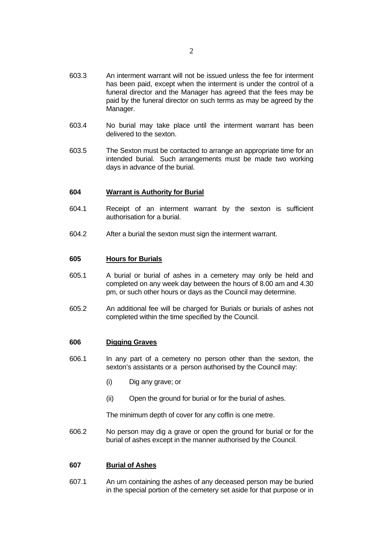- 603.3 An interment warrant will not be issued unless the fee for interment has been paid, except when the interment is under the control of a funeral director and the Manager has agreed that the fees may be paid by the funeral director on such terms as may be agreed by the Manager.
- 603.4 No burial may take place until the interment warrant has been delivered to the sexton.
- 603.5 The Sexton must be contacted to arrange an appropriate time for an intended burial. Such arrangements must be made two working days in advance of the burial.

#### **604 Warrant is Authority for Burial**

- 604.1 Receipt of an interment warrant by the sexton is sufficient authorisation for a burial.
- 604.2 After a burial the sexton must sign the interment warrant.

#### **605 Hours for Burials**

- 605.1 A burial or burial of ashes in a cemetery may only be held and completed on any week day between the hours of 8.00 am and 4.30 pm, or such other hours or days as the Council may determine.
- 605.2 An additional fee will be charged for Burials or burials of ashes not completed within the time specified by the Council.

## **606 Digging Graves**

- 606.1 In any part of a cemetery no person other than the sexton, the sexton's assistants or a person authorised by the Council may:
	- (i) Dig any grave; or
	- (ii) Open the ground for burial or for the burial of ashes.

The minimum depth of cover for any coffin is one metre.

606.2 No person may dig a grave or open the ground for burial or for the burial of ashes except in the manner authorised by the Council.

## **607 Burial of Ashes**

607.1 An urn containing the ashes of any deceased person may be buried in the special portion of the cemetery set aside for that purpose or in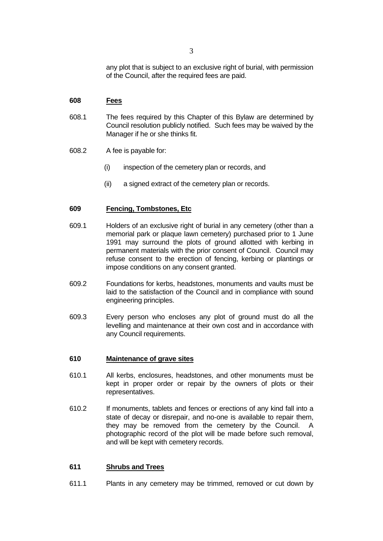any plot that is subject to an exclusive right of burial, with permission of the Council, after the required fees are paid.

## **608 Fees**

- 608.1 The fees required by this Chapter of this Bylaw are determined by Council resolution publicly notified. Such fees may be waived by the Manager if he or she thinks fit.
- 608.2 A fee is payable for:
	- (i) inspection of the cemetery plan or records, and
	- (ii) a signed extract of the cemetery plan or records.

## **609 Fencing, Tombstones, Etc**

- 609.1 Holders of an exclusive right of burial in any cemetery (other than a memorial park or plaque lawn cemetery) purchased prior to 1 June 1991 may surround the plots of ground allotted with kerbing in permanent materials with the prior consent of Council. Council may refuse consent to the erection of fencing, kerbing or plantings or impose conditions on any consent granted.
- 609.2 Foundations for kerbs, headstones, monuments and vaults must be laid to the satisfaction of the Council and in compliance with sound engineering principles.
- 609.3 Every person who encloses any plot of ground must do all the levelling and maintenance at their own cost and in accordance with any Council requirements.

## **610 Maintenance of grave sites**

- 610.1 All kerbs, enclosures, headstones, and other monuments must be kept in proper order or repair by the owners of plots or their representatives.
- 610.2 If monuments, tablets and fences or erections of any kind fall into a state of decay or disrepair, and no-one is available to repair them, they may be removed from the cemetery by the Council. A photographic record of the plot will be made before such removal, and will be kept with cemetery records.

## **611 Shrubs and Trees**

611.1 Plants in any cemetery may be trimmed, removed or cut down by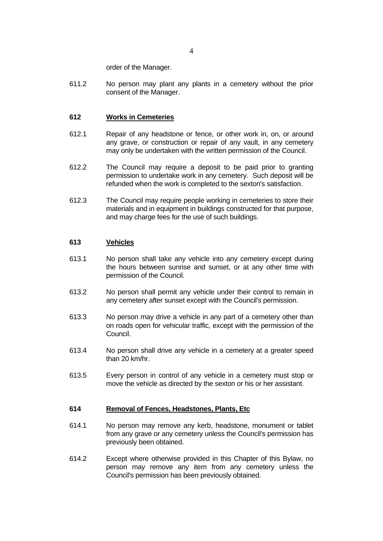order of the Manager.

611.2 No person may plant any plants in a cemetery without the prior consent of the Manager.

## **612 Works in Cemeteries**

- 612.1 Repair of any headstone or fence, or other work in, on, or around any grave, or construction or repair of any vault, in any cemetery may only be undertaken with the written permission of the Council.
- 612.2 The Council may require a deposit to be paid prior to granting permission to undertake work in any cemetery. Such deposit will be refunded when the work is completed to the sexton's satisfaction.
- 612.3 The Council may require people working in cemeteries to store their materials and in equipment in buildings constructed for that purpose, and may charge fees for the use of such buildings.

## **613 Vehicles**

- 613.1 No person shall take any vehicle into any cemetery except during the hours between sunrise and sunset, or at any other time with permission of the Council.
- 613.2 No person shall permit any vehicle under their control to remain in any cemetery after sunset except with the Council's permission.
- 613.3 No person may drive a vehicle in any part of a cemetery other than on roads open for vehicular traffic, except with the permission of the Council.
- 613.4 No person shall drive any vehicle in a cemetery at a greater speed than 20 km/hr.
- 613.5 Every person in control of any vehicle in a cemetery must stop or move the vehicle as directed by the sexton or his or her assistant.

## **614 Removal of Fences, Headstones, Plants, Etc**

- 614.1 No person may remove any kerb, headstone, monument or tablet from any grave or any cemetery unless the Council's permission has previously been obtained.
- 614.2 Except where otherwise provided in this Chapter of this Bylaw, no person may remove any item from any cemetery unless the Council's permission has been previously obtained.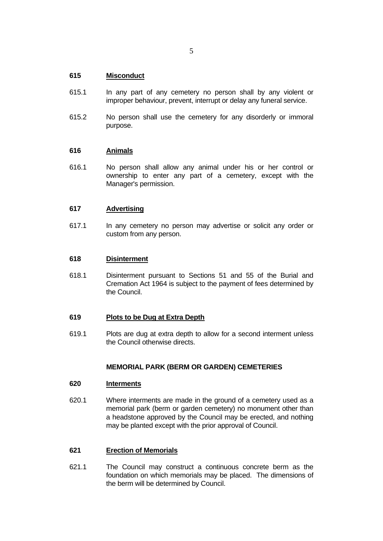# **615 Misconduct**

- 615.1 In any part of any cemetery no person shall by any violent or improper behaviour, prevent, interrupt or delay any funeral service.
- 615.2 No person shall use the cemetery for any disorderly or immoral purpose.

## **616 Animals**

616.1 No person shall allow any animal under his or her control or ownership to enter any part of a cemetery, except with the Manager's permission.

## **617 Advertising**

617.1 In any cemetery no person may advertise or solicit any order or custom from any person.

## **618 Disinterment**

618.1 Disinterment pursuant to Sections 51 and 55 of the Burial and Cremation Act 1964 is subject to the payment of fees determined by the Council.

## **619 Plots to be Dug at Extra Depth**

619.1 Plots are dug at extra depth to allow for a second interment unless the Council otherwise directs.

## **MEMORIAL PARK (BERM OR GARDEN) CEMETERIES**

## **620 Interments**

620.1 Where interments are made in the ground of a cemetery used as a memorial park (berm or garden cemetery) no monument other than a headstone approved by the Council may be erected, and nothing may be planted except with the prior approval of Council.

## **621 Erection of Memorials**

621.1 The Council may construct a continuous concrete berm as the foundation on which memorials may be placed. The dimensions of the berm will be determined by Council.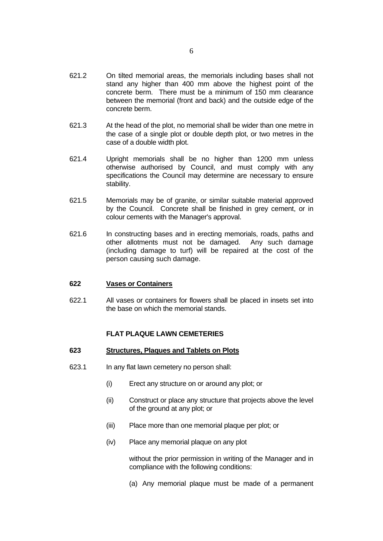- 621.2 On tilted memorial areas, the memorials including bases shall not stand any higher than 400 mm above the highest point of the concrete berm. There must be a minimum of 150 mm clearance between the memorial (front and back) and the outside edge of the concrete berm.
- 621.3 At the head of the plot, no memorial shall be wider than one metre in the case of a single plot or double depth plot, or two metres in the case of a double width plot.
- 621.4 Upright memorials shall be no higher than 1200 mm unless otherwise authorised by Council, and must comply with any specifications the Council may determine are necessary to ensure stability.
- 621.5 Memorials may be of granite, or similar suitable material approved by the Council. Concrete shall be finished in grey cement, or in colour cements with the Manager's approval.
- 621.6 In constructing bases and in erecting memorials, roads, paths and other allotments must not be damaged. Any such damage (including damage to turf) will be repaired at the cost of the person causing such damage.

## **622 Vases or Containers**

622.1 All vases or containers for flowers shall be placed in insets set into the base on which the memorial stands.

## **FLAT PLAQUE LAWN CEMETERIES**

#### **623 Structures, Plaques and Tablets on Plots**

- 623.1 In any flat lawn cemetery no person shall:
	- (i) Erect any structure on or around any plot; or
	- (ii) Construct or place any structure that projects above the level of the ground at any plot; or
	- (iii) Place more than one memorial plaque per plot; or
	- (iv) Place any memorial plaque on any plot

 without the prior permission in writing of the Manager and in compliance with the following conditions:

(a) Any memorial plaque must be made of a permanent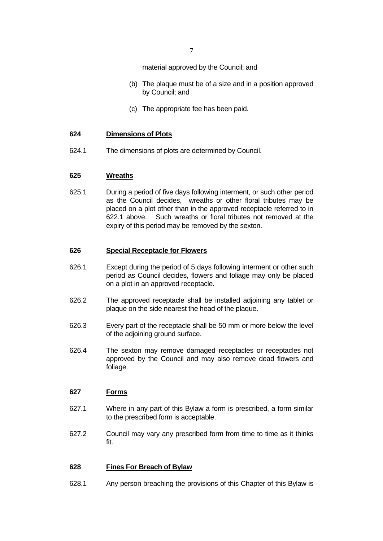material approved by the Council; and

- (b) The plaque must be of a size and in a position approved by Council; and
- (c) The appropriate fee has been paid.

## **624 Dimensions of Plots**

624.1 The dimensions of plots are determined by Council.

## **625 Wreaths**

625.1 During a period of five days following interment, or such other period as the Council decides, wreaths or other floral tributes may be placed on a plot other than in the approved receptacle referred to in 622.1 above. Such wreaths or floral tributes not removed at the expiry of this period may be removed by the sexton.

## **626 Special Receptacle for Flowers**

- 626.1 Except during the period of 5 days following interment or other such period as Council decides, flowers and foliage may only be placed on a plot in an approved receptacle.
- 626.2 The approved receptacle shall be installed adjoining any tablet or plaque on the side nearest the head of the plaque.
- 626.3 Every part of the receptacle shall be 50 mm or more below the level of the adjoining ground surface.
- 626.4 The sexton may remove damaged receptacles or receptacles not approved by the Council and may also remove dead flowers and foliage.

## **627 Forms**

- 627.1 Where in any part of this Bylaw a form is prescribed, a form similar to the prescribed form is acceptable.
- 627.2 Council may vary any prescribed form from time to time as it thinks fit.

## **628 Fines For Breach of Bylaw**

628.1 Any person breaching the provisions of this Chapter of this Bylaw is